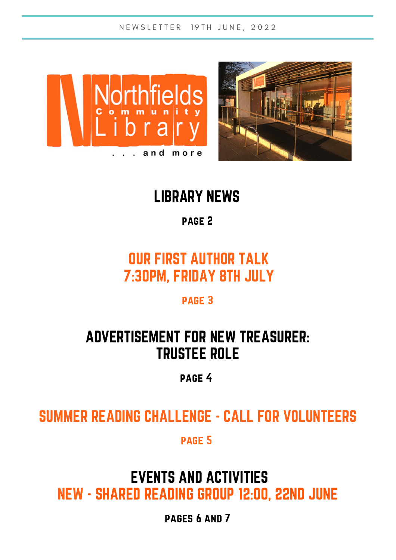N E W S L E T T E R 19 T H J U N E , 2022





## LIBRARY NEWS

### page 2

## OUR FIRST AUTHOR TALK 7:30PM, FRIDAY 8TH JULY

#### page 3

## ADVERTISEMENT FOR NEW TREASURER: TRUSTEE ROLE

### page 4

## SUMMER READING CHALLENGE - CALL FOR VOLUNTEERS

#### page 5

## EVENTS AND ACTIVITIES NEW - SHARED READING GROUP 12:00, 22ND JUNE

pages 6 and 7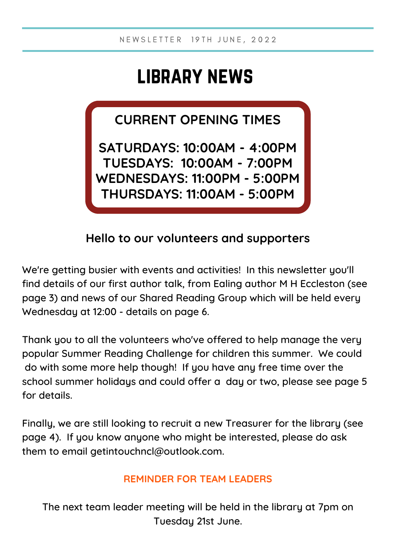# library news

**CURRENT OPENING TIMES**

**SATURDAYS: 10:00AM - 4:00PM TUESDAYS: 10:00AM - 7:00PM WEDNESDAYS: 11:00PM - 5:00PM THURSDAYS: 11:00AM - 5:00PM**

### **Hello to our volunteers and supporters**

We're getting busier with events and activities! In this newsletter you'll find details of our first author talk, from Ealing author M H Eccleston (see page 3) and news of our Shared Reading Group which will be held every Wednesday at 12:00 - details on page 6.

Thank you to all the volunteers who've offered to help manage the very popular Summer Reading Challenge for children this summer. We could do with some more help though! If you have any free time over the school summer holidays and could offer a day or two, please see page 5 for details.

Finally, we are still looking to recruit a new Treasurer for the library (see page 4). If you know anyone who might be interested, please do ask them to email getintouchncl@outlook.com.

#### **REMINDER FOR TEAM LEADERS**

The next team leader meeting will be held in the library at 7pm on Tuesday 21st June.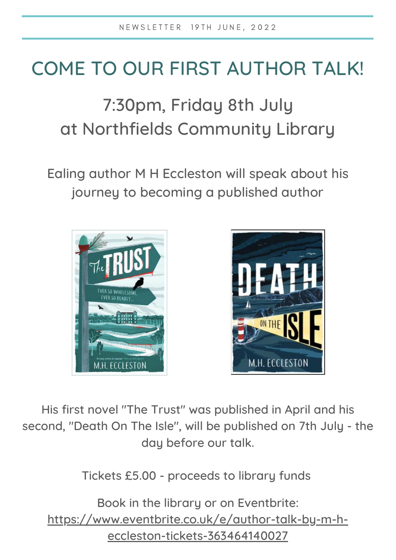# COME TO OUR FIRST AUTHOR TALK!

# 7:30pm, Friday 8th July at Northfields Community Library

Ealing author M H Eccleston will speak about his journey to becoming a published author





His first novel "The Trust" was published in April and his second, "Death On The Isle", will be published on 7th July - the day before our talk.

Tickets £5.00 - proceeds to library funds

Book in the library or on Eventbrite: [https://www.eventbrite.co.uk/e/author-talk-by-m-h](https://www.eventbrite.co.uk/e/author-talk-by-m-h-eccleston-tickets-363464140027)eccleston-tickets-363464140027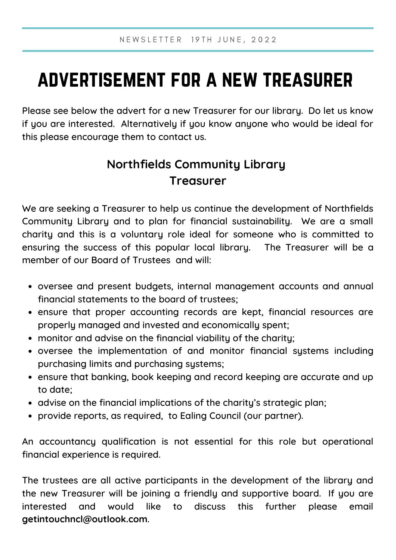# advertisement for a new treasurer

Please see below the advert for a new Treasurer for our library. Do let us know if you are interested. Alternatively if you know anyone who would be ideal for this please encourage them to contact us.

## **Northfields Community Library Treasurer**

We are seeking a Treasurer to help us continue the development of Northfields Community Library and to plan for financial sustainability. We are a small charity and this is a voluntary role ideal for someone who is committed to ensuring the success of this popular local library. The Treasurer will be a member of our Board of Trustees and will:

- oversee and present budgets, internal management accounts and annual financial statements to the board of trustees;
- ensure that proper accounting records are kept, financial resources are properly managed and invested and economically spent;
- monitor and advise on the financial viability of the charity;
- oversee the implementation of and monitor financial systems including purchasing limits and purchasing systems;
- ensure that banking, book keeping and record keeping are accurate and up to date;
- advise on the financial implications of the charity's strategic plan;
- provide reports, as required, to Ealing Council (our partner).

An accountancy qualification is not essential for this role but operational financial experience is required.

The trustees are all active participants in the development of the library and the new Treasurer will be joining a friendly and supportive board. If you are interested and would like to discuss this further please email **getintouchncl@outlook.com**.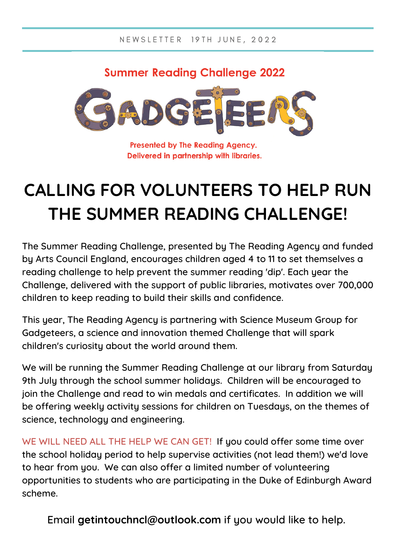### **Summer Reading Challenge 2022**



Presented by The Reading Agency. Delivered in partnership with libraries.

# **CALLING FOR VOLUNTEERS TO HELP RUN THE SUMMER READING CHALLENGE!**

The Summer Reading Challenge, presented by The Reading Agency and funded by Arts Council England, encourages children aged 4 to 11 to set themselves a reading challenge to help prevent the summer reading 'dip'. Each year the Challenge, delivered with the support of public libraries, motivates over 700,000 children to keep reading to build their skills and confidence.

This year, The Reading Agency is partnering with Science [Museum](https://www.sciencemuseumgroup.org.uk/) Group for Gadgeteers, a science and innovation themed Challenge that will spark children's curiosity about the world around them.

We will be running the Summer Reading Challenge at our library from Saturday 9th July through the school summer holidays. Children will be encouraged to join the Challenge and read to win medals and certificates. In addition we will be offering weekly activity sessions for children on Tuesdays, on the themes of science, technology and engineering.

WE WILL NEED ALL THE HELP WE CAN GET! If you could offer some time over the school holiday period to help supervise activities (not lead them!) we'd love to hear from you. We can also offer a limited number of volunteering opportunities to students who are participating in the Duke of Edinburgh Award scheme.

Email **getintouchncl@outlook.com** if you would like to help.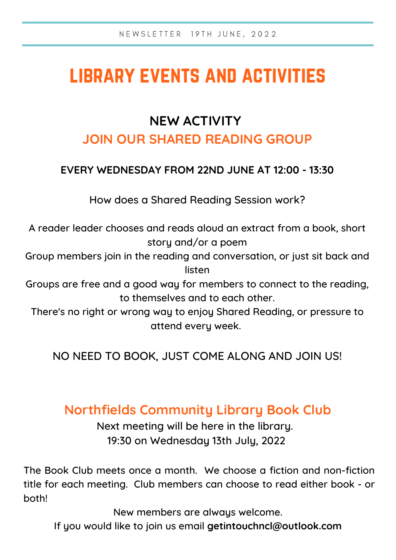# library events and activities

# **NEW ACTIVITY**

### **JOIN OUR SHARED READING GROUP**

### **EVERY WEDNESDAY FROM 22ND JUNE AT 12:00 - 13:30**

How does a Shared Reading Session work?

A reader leader chooses and reads aloud an extract from a book, short story and/or a poem

Group members join in the reading and conversation, or just sit back and listen

Groups are free and a good way for members to connect to the reading, to themselves and to each other.

There's no right or wrong way to enjoy Shared Reading, or pressure to attend every week.

NO NEED TO BOOK, JUST COME ALONG AND JOIN US!

## **Northfields Community Library Book Club**

Next meeting will be here in the library. 19:30 on Wednesday 13th July, 2022

The Book Club meets once a month. We choose a fiction and non-fiction title for each meeting. Club members can choose to read either book - or both!

New members are always welcome.

If you would like to join us email **getintouchncl@outlook.com**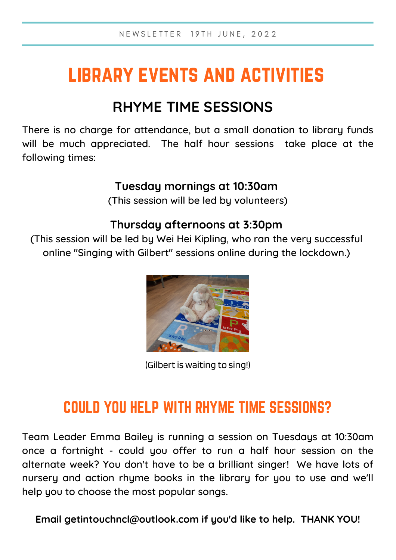# library events and activities

## **RHYME TIME SESSIONS**

There is no charge for attendance, but a small donation to library funds will be much appreciated. The half hour sessions take place at the following times:

### **Tuesday mornings at 10:30am**

(This session will be led by volunteers)

### **Thursday afternoons at 3:30pm**

(This session will be led by Wei Hei Kipling, who ran the very successful online "Singing with Gilbert" sessions online during the lockdown.)



(Gilbert is waiting to sing!)

## COULD YOU HELP WITH RHYME TIME SESSIONS?

Team Leader Emma Bailey is running a session on Tuesdays at 10:30am once a fortnight - could you offer to run a half hour session on the alternate week? You don't have to be a brilliant singer! We have lots of nursery and action rhyme books in the library for you to use and we'll help you to choose the most popular songs.

**Email getintouchncl@outlook.com if you'd like to help. THANK YOU!**